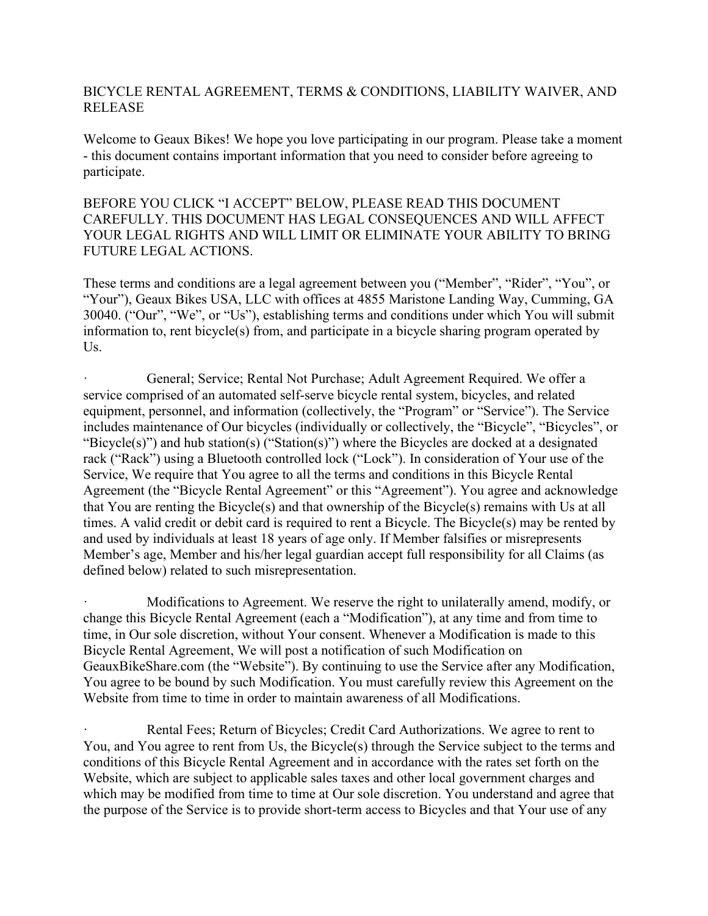## BICYCLE RENTAL AGREEMENT, TERMS & CONDITIONS, LIABILITY WAIVER, AND RELEASE

Welcome to Geaux Bikes! We hope you love participating in our program. Please take a moment - this document contains important information that you need to consider before agreeing to participate.

## BEFORE YOU CLICK "I ACCEPT" BELOW, PLEASE READ THIS DOCUMENT CAREFULLY. THIS DOCUMENT HAS LEGAL CONSEQUENCES AND WILL AFFECT YOUR LEGAL RIGHTS AND WILL LIMIT OR ELIMINATE YOUR ABILITY TO BRING FUTURE LEGAL ACTIONS.

These terms and conditions are a legal agreement between you ("Member", "Rider", "You", or "Your"), Geaux Bikes USA, LLC with offices at 4855 Maristone Landing Way, Cumming, GA 30040. ("Our", "We", or "Us"), establishing terms and conditions under which You will submit information to, rent bicycle(s) from, and participate in a bicycle sharing program operated by Us.

General; Service; Rental Not Purchase; Adult Agreement Required. We offer a service comprised of an automated self-serve bicycle rental system, bicycles, and related equipment, personnel, and information (collectively, the "Program" or "Service"). The Service includes maintenance of Our bicycles (individually or collectively, the "Bicycle", "Bicycles", or "Bicycle(s)") and hub station(s) ("Station(s)") where the Bicycles are docked at a designated rack ("Rack") using a Bluetooth controlled lock ("Lock"). In consideration of Your use of the Service, We require that You agree to all the terms and conditions in this Bicycle Rental Agreement (the "Bicycle Rental Agreement" or this "Agreement"). You agree and acknowledge that You are renting the Bicycle(s) and that ownership of the Bicycle(s) remains with Us at all times. A valid credit or debit card is required to rent a Bicycle. The Bicycle(s) may be rented by and used by individuals at least 18 years of age only. If Member falsifies or misrepresents Member's age, Member and his/her legal guardian accept full responsibility for all Claims (as defined below) related to such misrepresentation.

Modifications to Agreement. We reserve the right to unilaterally amend, modify, or change this Bicycle Rental Agreement (each a "Modification"), at any time and from time to time, in Our sole discretion, without Your consent. Whenever a Modification is made to this Bicycle Rental Agreement, We will post a notification of such Modification on GeauxBikeShare.com (the "Website"). By continuing to use the Service after any Modification, You agree to be bound by such Modification. You must carefully review this Agreement on the Website from time to time in order to maintain awareness of all Modifications.

Rental Fees; Return of Bicycles; Credit Card Authorizations. We agree to rent to You, and You agree to rent from Us, the Bicycle(s) through the Service subject to the terms and conditions of this Bicycle Rental Agreement and in accordance with the rates set forth on the Website, which are subject to applicable sales taxes and other local government charges and which may be modified from time to time at Our sole discretion. You understand and agree that the purpose of the Service is to provide short-term access to Bicycles and that Your use of any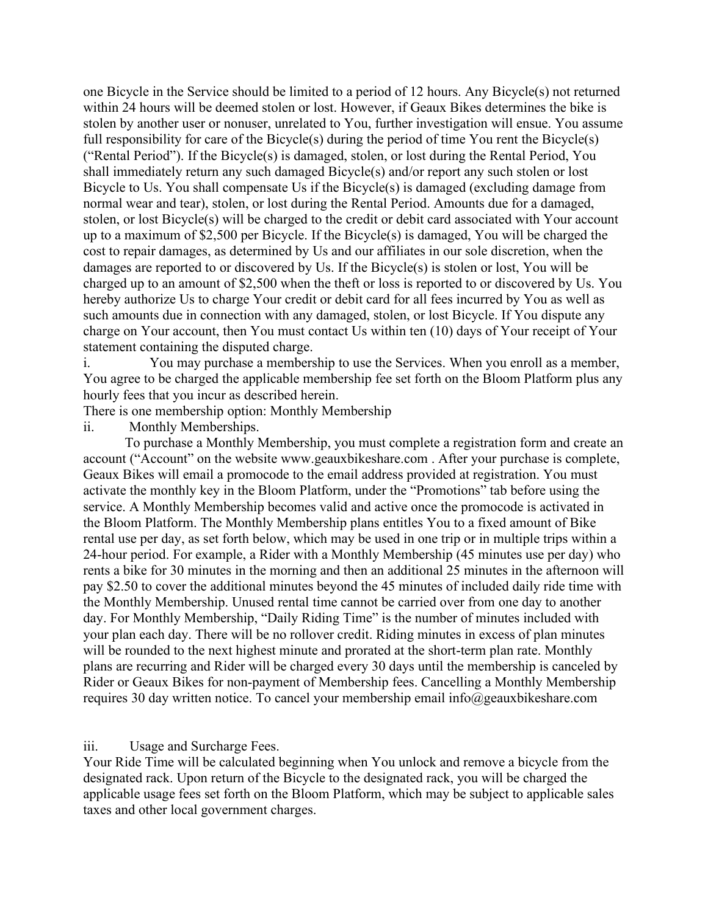one Bicycle in the Service should be limited to a period of 12 hours. Any Bicycle(s) not returned within 24 hours will be deemed stolen or lost. However, if Geaux Bikes determines the bike is stolen by another user or nonuser, unrelated to You, further investigation will ensue. You assume full responsibility for care of the Bicycle(s) during the period of time You rent the Bicycle(s) ("Rental Period"). If the Bicycle(s) is damaged, stolen, or lost during the Rental Period, You shall immediately return any such damaged Bicycle(s) and/or report any such stolen or lost Bicycle to Us. You shall compensate Us if the Bicycle(s) is damaged (excluding damage from normal wear and tear), stolen, or lost during the Rental Period. Amounts due for a damaged, stolen, or lost Bicycle(s) will be charged to the credit or debit card associated with Your account up to a maximum of \$2,500 per Bicycle. If the Bicycle(s) is damaged, You will be charged the cost to repair damages, as determined by Us and our affiliates in our sole discretion, when the damages are reported to or discovered by Us. If the Bicycle(s) is stolen or lost, You will be charged up to an amount of \$2,500 when the theft or loss is reported to or discovered by Us. You hereby authorize Us to charge Your credit or debit card for all fees incurred by You as well as such amounts due in connection with any damaged, stolen, or lost Bicycle. If You dispute any charge on Your account, then You must contact Us within ten (10) days of Your receipt of Your statement containing the disputed charge.

i. You may purchase a membership to use the Services. When you enroll as a member, You agree to be charged the applicable membership fee set forth on the Bloom Platform plus any hourly fees that you incur as described herein.

There is one membership option: Monthly Membership

ii. Monthly Memberships.

To purchase a Monthly Membership, you must complete a registration form and create an account ("Account" on the website www.geauxbikeshare.com . After your purchase is complete, Geaux Bikes will email a promocode to the email address provided at registration. You must activate the monthly key in the Bloom Platform, under the "Promotions" tab before using the service. A Monthly Membership becomes valid and active once the promocode is activated in the Bloom Platform. The Monthly Membership plans entitles You to a fixed amount of Bike rental use per day, as set forth below, which may be used in one trip or in multiple trips within a 24-hour period. For example, a Rider with a Monthly Membership (45 minutes use per day) who rents a bike for 30 minutes in the morning and then an additional 25 minutes in the afternoon will pay \$2.50 to cover the additional minutes beyond the 45 minutes of included daily ride time with the Monthly Membership. Unused rental time cannot be carried over from one day to another day. For Monthly Membership, "Daily Riding Time" is the number of minutes included with your plan each day. There will be no rollover credit. Riding minutes in excess of plan minutes will be rounded to the next highest minute and prorated at the short-term plan rate. Monthly plans are recurring and Rider will be charged every 30 days until the membership is canceled by Rider or Geaux Bikes for non-payment of Membership fees. Cancelling a Monthly Membership requires 30 day written notice. To cancel your membership email info@geauxbikeshare.com

iii. Usage and Surcharge Fees.

Your Ride Time will be calculated beginning when You unlock and remove a bicycle from the designated rack. Upon return of the Bicycle to the designated rack, you will be charged the applicable usage fees set forth on the Bloom Platform, which may be subject to applicable sales taxes and other local government charges.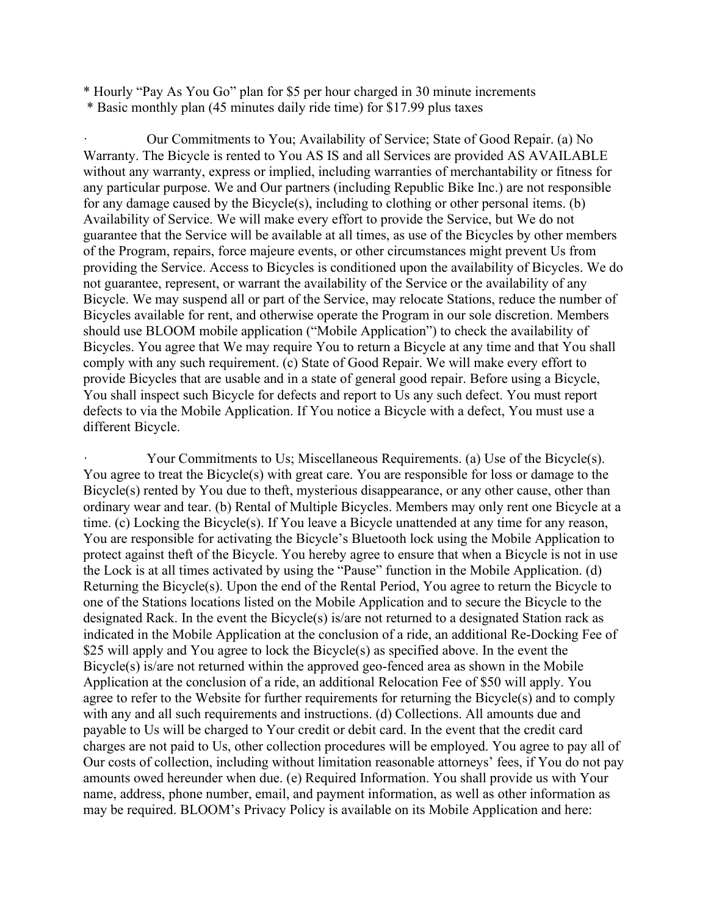\* Hourly "Pay As You Go" plan for \$5 per hour charged in 30 minute increments

\* Basic monthly plan (45 minutes daily ride time) for \$17.99 plus taxes

· Our Commitments to You; Availability of Service; State of Good Repair. (a) No Warranty. The Bicycle is rented to You AS IS and all Services are provided AS AVAILABLE without any warranty, express or implied, including warranties of merchantability or fitness for any particular purpose. We and Our partners (including Republic Bike Inc.) are not responsible for any damage caused by the Bicycle(s), including to clothing or other personal items. (b) Availability of Service. We will make every effort to provide the Service, but We do not guarantee that the Service will be available at all times, as use of the Bicycles by other members of the Program, repairs, force majeure events, or other circumstances might prevent Us from providing the Service. Access to Bicycles is conditioned upon the availability of Bicycles. We do not guarantee, represent, or warrant the availability of the Service or the availability of any Bicycle. We may suspend all or part of the Service, may relocate Stations, reduce the number of Bicycles available for rent, and otherwise operate the Program in our sole discretion. Members should use BLOOM mobile application ("Mobile Application") to check the availability of Bicycles. You agree that We may require You to return a Bicycle at any time and that You shall comply with any such requirement. (c) State of Good Repair. We will make every effort to provide Bicycles that are usable and in a state of general good repair. Before using a Bicycle, You shall inspect such Bicycle for defects and report to Us any such defect. You must report defects to via the Mobile Application. If You notice a Bicycle with a defect, You must use a different Bicycle.

Your Commitments to Us; Miscellaneous Requirements. (a) Use of the Bicycle(s). You agree to treat the Bicycle(s) with great care. You are responsible for loss or damage to the Bicycle(s) rented by You due to theft, mysterious disappearance, or any other cause, other than ordinary wear and tear. (b) Rental of Multiple Bicycles. Members may only rent one Bicycle at a time. (c) Locking the Bicycle(s). If You leave a Bicycle unattended at any time for any reason, You are responsible for activating the Bicycle's Bluetooth lock using the Mobile Application to protect against theft of the Bicycle. You hereby agree to ensure that when a Bicycle is not in use the Lock is at all times activated by using the "Pause" function in the Mobile Application. (d) Returning the Bicycle(s). Upon the end of the Rental Period, You agree to return the Bicycle to one of the Stations locations listed on the Mobile Application and to secure the Bicycle to the designated Rack. In the event the Bicycle(s) is/are not returned to a designated Station rack as indicated in the Mobile Application at the conclusion of a ride, an additional Re-Docking Fee of \$25 will apply and You agree to lock the Bicycle(s) as specified above. In the event the Bicycle(s) is/are not returned within the approved geo-fenced area as shown in the Mobile Application at the conclusion of a ride, an additional Relocation Fee of \$50 will apply. You agree to refer to the Website for further requirements for returning the Bicycle(s) and to comply with any and all such requirements and instructions. (d) Collections. All amounts due and payable to Us will be charged to Your credit or debit card. In the event that the credit card charges are not paid to Us, other collection procedures will be employed. You agree to pay all of Our costs of collection, including without limitation reasonable attorneys' fees, if You do not pay amounts owed hereunder when due. (e) Required Information. You shall provide us with Your name, address, phone number, email, and payment information, as well as other information as may be required. BLOOM's Privacy Policy is available on its Mobile Application and here: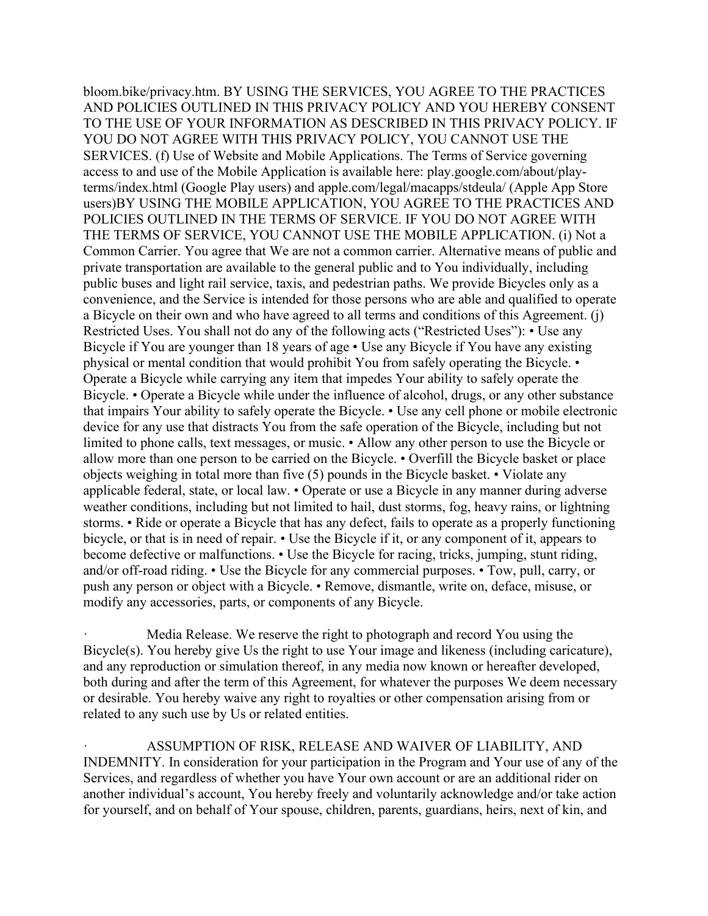bloom.bike/privacy.htm. BY USING THE SERVICES, YOU AGREE TO THE PRACTICES AND POLICIES OUTLINED IN THIS PRIVACY POLICY AND YOU HEREBY CONSENT TO THE USE OF YOUR INFORMATION AS DESCRIBED IN THIS PRIVACY POLICY. IF YOU DO NOT AGREE WITH THIS PRIVACY POLICY, YOU CANNOT USE THE SERVICES. (f) Use of Website and Mobile Applications. The Terms of Service governing access to and use of the Mobile Application is available here: play.google.com/about/playterms/index.html (Google Play users) and apple.com/legal/macapps/stdeula/ (Apple App Store users)BY USING THE MOBILE APPLICATION, YOU AGREE TO THE PRACTICES AND POLICIES OUTLINED IN THE TERMS OF SERVICE. IF YOU DO NOT AGREE WITH THE TERMS OF SERVICE, YOU CANNOT USE THE MOBILE APPLICATION. (i) Not a Common Carrier. You agree that We are not a common carrier. Alternative means of public and private transportation are available to the general public and to You individually, including public buses and light rail service, taxis, and pedestrian paths. We provide Bicycles only as a convenience, and the Service is intended for those persons who are able and qualified to operate a Bicycle on their own and who have agreed to all terms and conditions of this Agreement. (j) Restricted Uses. You shall not do any of the following acts ("Restricted Uses"): • Use any Bicycle if You are younger than 18 years of age • Use any Bicycle if You have any existing physical or mental condition that would prohibit You from safely operating the Bicycle. • Operate a Bicycle while carrying any item that impedes Your ability to safely operate the Bicycle. • Operate a Bicycle while under the influence of alcohol, drugs, or any other substance that impairs Your ability to safely operate the Bicycle. • Use any cell phone or mobile electronic device for any use that distracts You from the safe operation of the Bicycle, including but not limited to phone calls, text messages, or music. • Allow any other person to use the Bicycle or allow more than one person to be carried on the Bicycle. • Overfill the Bicycle basket or place objects weighing in total more than five (5) pounds in the Bicycle basket. • Violate any applicable federal, state, or local law. • Operate or use a Bicycle in any manner during adverse weather conditions, including but not limited to hail, dust storms, fog, heavy rains, or lightning storms. • Ride or operate a Bicycle that has any defect, fails to operate as a properly functioning bicycle, or that is in need of repair. • Use the Bicycle if it, or any component of it, appears to become defective or malfunctions. • Use the Bicycle for racing, tricks, jumping, stunt riding, and/or off-road riding. • Use the Bicycle for any commercial purposes. • Tow, pull, carry, or push any person or object with a Bicycle. • Remove, dismantle, write on, deface, misuse, or modify any accessories, parts, or components of any Bicycle.

Media Release. We reserve the right to photograph and record You using the Bicycle(s). You hereby give Us the right to use Your image and likeness (including caricature), and any reproduction or simulation thereof, in any media now known or hereafter developed, both during and after the term of this Agreement, for whatever the purposes We deem necessary or desirable. You hereby waive any right to royalties or other compensation arising from or related to any such use by Us or related entities.

ASSUMPTION OF RISK, RELEASE AND WAIVER OF LIABILITY, AND INDEMNITY. In consideration for your participation in the Program and Your use of any of the Services, and regardless of whether you have Your own account or are an additional rider on another individual's account, You hereby freely and voluntarily acknowledge and/or take action for yourself, and on behalf of Your spouse, children, parents, guardians, heirs, next of kin, and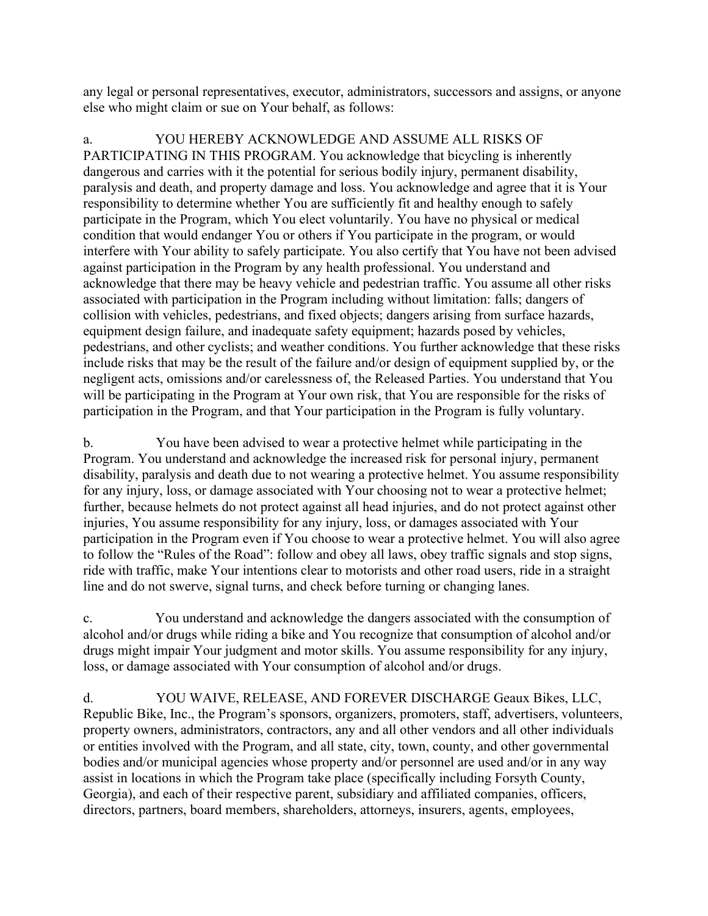any legal or personal representatives, executor, administrators, successors and assigns, or anyone else who might claim or sue on Your behalf, as follows:

a. YOU HEREBY ACKNOWLEDGE AND ASSUME ALL RISKS OF PARTICIPATING IN THIS PROGRAM. You acknowledge that bicycling is inherently dangerous and carries with it the potential for serious bodily injury, permanent disability, paralysis and death, and property damage and loss. You acknowledge and agree that it is Your responsibility to determine whether You are sufficiently fit and healthy enough to safely participate in the Program, which You elect voluntarily. You have no physical or medical condition that would endanger You or others if You participate in the program, or would interfere with Your ability to safely participate. You also certify that You have not been advised against participation in the Program by any health professional. You understand and acknowledge that there may be heavy vehicle and pedestrian traffic. You assume all other risks associated with participation in the Program including without limitation: falls; dangers of collision with vehicles, pedestrians, and fixed objects; dangers arising from surface hazards, equipment design failure, and inadequate safety equipment; hazards posed by vehicles, pedestrians, and other cyclists; and weather conditions. You further acknowledge that these risks include risks that may be the result of the failure and/or design of equipment supplied by, or the negligent acts, omissions and/or carelessness of, the Released Parties. You understand that You will be participating in the Program at Your own risk, that You are responsible for the risks of participation in the Program, and that Your participation in the Program is fully voluntary.

b. You have been advised to wear a protective helmet while participating in the Program. You understand and acknowledge the increased risk for personal injury, permanent disability, paralysis and death due to not wearing a protective helmet. You assume responsibility for any injury, loss, or damage associated with Your choosing not to wear a protective helmet; further, because helmets do not protect against all head injuries, and do not protect against other injuries, You assume responsibility for any injury, loss, or damages associated with Your participation in the Program even if You choose to wear a protective helmet. You will also agree to follow the "Rules of the Road": follow and obey all laws, obey traffic signals and stop signs, ride with traffic, make Your intentions clear to motorists and other road users, ride in a straight line and do not swerve, signal turns, and check before turning or changing lanes.

c. You understand and acknowledge the dangers associated with the consumption of alcohol and/or drugs while riding a bike and You recognize that consumption of alcohol and/or drugs might impair Your judgment and motor skills. You assume responsibility for any injury, loss, or damage associated with Your consumption of alcohol and/or drugs.

d. YOU WAIVE, RELEASE, AND FOREVER DISCHARGE Geaux Bikes, LLC, Republic Bike, Inc., the Program's sponsors, organizers, promoters, staff, advertisers, volunteers, property owners, administrators, contractors, any and all other vendors and all other individuals or entities involved with the Program, and all state, city, town, county, and other governmental bodies and/or municipal agencies whose property and/or personnel are used and/or in any way assist in locations in which the Program take place (specifically including Forsyth County, Georgia), and each of their respective parent, subsidiary and affiliated companies, officers, directors, partners, board members, shareholders, attorneys, insurers, agents, employees,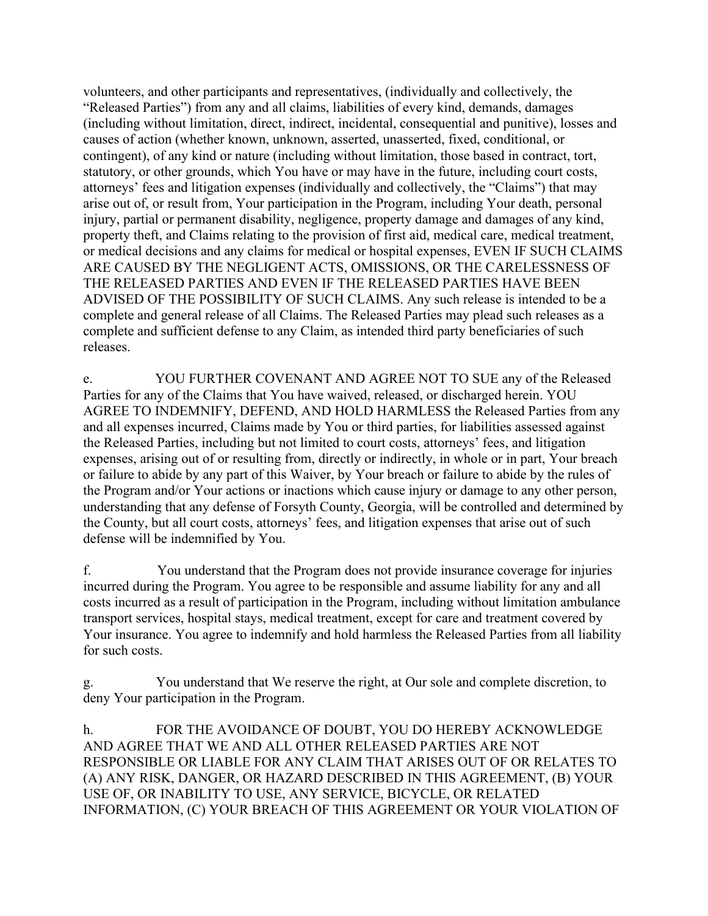volunteers, and other participants and representatives, (individually and collectively, the "Released Parties") from any and all claims, liabilities of every kind, demands, damages (including without limitation, direct, indirect, incidental, consequential and punitive), losses and causes of action (whether known, unknown, asserted, unasserted, fixed, conditional, or contingent), of any kind or nature (including without limitation, those based in contract, tort, statutory, or other grounds, which You have or may have in the future, including court costs, attorneys' fees and litigation expenses (individually and collectively, the "Claims") that may arise out of, or result from, Your participation in the Program, including Your death, personal injury, partial or permanent disability, negligence, property damage and damages of any kind, property theft, and Claims relating to the provision of first aid, medical care, medical treatment, or medical decisions and any claims for medical or hospital expenses, EVEN IF SUCH CLAIMS ARE CAUSED BY THE NEGLIGENT ACTS, OMISSIONS, OR THE CARELESSNESS OF THE RELEASED PARTIES AND EVEN IF THE RELEASED PARTIES HAVE BEEN ADVISED OF THE POSSIBILITY OF SUCH CLAIMS. Any such release is intended to be a complete and general release of all Claims. The Released Parties may plead such releases as a complete and sufficient defense to any Claim, as intended third party beneficiaries of such releases.

e. YOU FURTHER COVENANT AND AGREE NOT TO SUE any of the Released Parties for any of the Claims that You have waived, released, or discharged herein. YOU AGREE TO INDEMNIFY, DEFEND, AND HOLD HARMLESS the Released Parties from any and all expenses incurred, Claims made by You or third parties, for liabilities assessed against the Released Parties, including but not limited to court costs, attorneys' fees, and litigation expenses, arising out of or resulting from, directly or indirectly, in whole or in part, Your breach or failure to abide by any part of this Waiver, by Your breach or failure to abide by the rules of the Program and/or Your actions or inactions which cause injury or damage to any other person, understanding that any defense of Forsyth County, Georgia, will be controlled and determined by the County, but all court costs, attorneys' fees, and litigation expenses that arise out of such defense will be indemnified by You.

f. You understand that the Program does not provide insurance coverage for injuries incurred during the Program. You agree to be responsible and assume liability for any and all costs incurred as a result of participation in the Program, including without limitation ambulance transport services, hospital stays, medical treatment, except for care and treatment covered by Your insurance. You agree to indemnify and hold harmless the Released Parties from all liability for such costs.

You understand that We reserve the right, at Our sole and complete discretion, to deny Your participation in the Program.

h. FOR THE AVOIDANCE OF DOUBT, YOU DO HEREBY ACKNOWLEDGE AND AGREE THAT WE AND ALL OTHER RELEASED PARTIES ARE NOT RESPONSIBLE OR LIABLE FOR ANY CLAIM THAT ARISES OUT OF OR RELATES TO (A) ANY RISK, DANGER, OR HAZARD DESCRIBED IN THIS AGREEMENT, (B) YOUR USE OF, OR INABILITY TO USE, ANY SERVICE, BICYCLE, OR RELATED INFORMATION, (C) YOUR BREACH OF THIS AGREEMENT OR YOUR VIOLATION OF